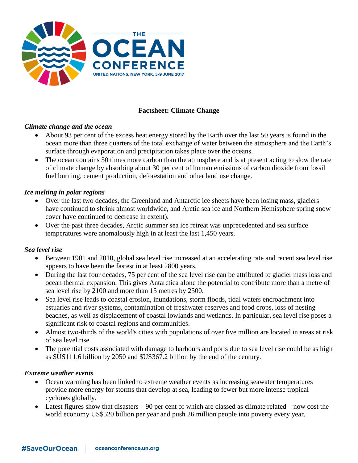

# **Factsheet: Climate Change**

### *Climate change and the ocean*

- About 93 per cent of the excess heat energy stored by the Earth over the last 50 years is found in the ocean more than three quarters of the total exchange of water between the atmosphere and the Earth's surface through evaporation and precipitation takes place over the oceans.
- The ocean contains 50 times more carbon than the atmosphere and is at present acting to slow the rate of climate change by absorbing about 30 per cent of human emissions of carbon dioxide from fossil fuel burning, cement production, deforestation and other land use change.

### *Ice melting in polar regions*

- Over the last two decades, the Greenland and Antarctic ice sheets have been losing mass, glaciers have continued to shrink almost worldwide, and Arctic sea ice and Northern Hemisphere spring snow cover have continued to decrease in extent).
- Over the past three decades, Arctic summer sea ice retreat was unprecedented and sea surface temperatures were anomalously high in at least the last 1,450 years.

#### *Sea level rise*

- Between 1901 and 2010, global sea level rise increased at an accelerating rate and recent sea level rise appears to have been the fastest in at least 2800 years.
- During the last four decades, 75 per cent of the sea level rise can be attributed to glacier mass loss and ocean thermal expansion. This gives Antarctica alone the potential to contribute more than a metre of sea level rise by 2100 and more than 15 metres by 2500.
- Sea level rise leads to coastal erosion, inundations, storm floods, tidal waters encroachment into estuaries and river systems, contamination of freshwater reserves and food crops, loss of nesting beaches, as well as displacement of coastal lowlands and wetlands. In particular, sea level rise poses a significant risk to coastal regions and communities.
- Almost two-thirds of the world's cities with populations of over five million are located in areas at risk of sea level rise.
- The potential costs associated with damage to harbours and ports due to sea level rise could be as high as \$US111.6 billion by 2050 and \$US367.2 billion by the end of the century.

#### *Extreme weather events*

- Ocean warming has been linked to extreme weather events as increasing seawater temperatures provide more energy for storms that develop at sea, leading to fewer but more intense tropical cyclones globally.
- Latest figures show that disasters—90 per cent of which are classed as climate related—now cost the world economy US\$520 billion per year and push 26 million people into poverty every year.